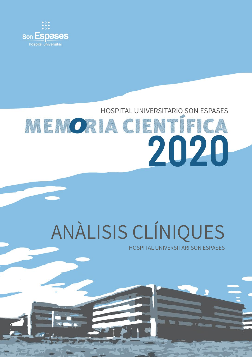

## HOSPITAL UNIVERSITARIO SON ESPASES **MENORIA CIENTÍFICA** 2020

# ANÀLISIS CLÍNIQUES

HOSPITAL UNIVERSITARI SON ESPASES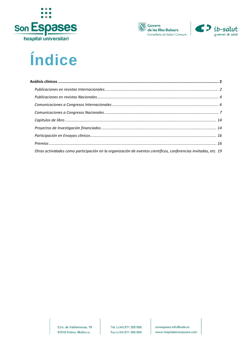





### Índice

| Otras actividades como participación en la organización de eventos científicos, conferencias invitadas, etc. 19 |  |
|-----------------------------------------------------------------------------------------------------------------|--|

Ctra. de Valldemossa, 79 07010 Palma. Mallorca

sonespases.info@ssib.es www.hospitalsonespases.com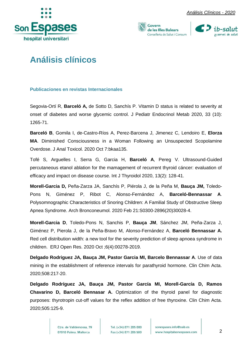





### <span id="page-2-0"></span>**Análisis clínicos**

#### <span id="page-2-1"></span>**Publicaciones en revistas Internacionales**

Segovia-Ortí R, **Barceló A,** de Sotto D, Sanchís P. Vitamin D status is related to severity at onset of diabetes and worse glycemic control. J Pediatr Endocrinol Metab 2020, 33 (10): 1265-71.

**Barceló B**, Gomila I, de-Castro-Ríos A, Perez-Barcena J, Jimenez C, Lendoiro E, **Elorza MA**. Diminished Consciousness in a Woman Following an Unsuspected Scopolamine Overdose. J Anal Toxicol. 2020 Oct 7:bkaa135.

Tofé S, Arguelles I, Serra G, Garcia H, **Barceló A**, Pereg V. Ultrasound-Guided percutaneous etanol ablation for the mamagement of recurrent thyroid cáncer: evaluation of efficacy and impact on disease course. Int J Thyroidol 2020, 13(2): 128-41.

**Morell-Garcia D,** Peña-Zarza JA, Sanchís P, Piérola J, de la Peña M, **Bauça JM,** Toledo-Pons N, Giménez P, Ribot C, Alonso-Fernández A, **Barceló-Bennassar A**. Polysomnographic Characteristics of Snoring Children: A Familial Study of Obstructive Sleep Apnea Syndrome. Arch Bronconeumol. 2020 Feb 21:S0300-2896(20)30028-4.

**Morell-Garcia D**, Toledo-Pons N, Sanchis P, **Bauça JM**, Sánchez JM, Peña-Zarza J, Giménez P, Pierola J, de la Peña-Bravo M, Alonso-Fernández A, **Barceló Bennassar A.**  Red cell distribution width: a new tool for the severity prediction of sleep apnoea syndrome in children. ERJ Open Res. 2020 Oct ;6(4):00278-2019.

**Delgado Rodriguez JA, Bauça JM, Pastor Garcia MI, Barcelo Bennassar A**. Use of data mining in the establishment of reference intervals for parathyroid hormone. Clin Chim Acta. 2020;508:217-20.

**Delgado Rodríguez JA, Bauça JM, Pastor García MI, Morell-García D, Ramos Chavarino D, Barceló Bennasar A.** Optimization of the thyroid panel for diagnostic purposes: thyrotropin cut-off values for the reflex addition of free thyroxine. Clin Chim Acta. 2020;505:125-9.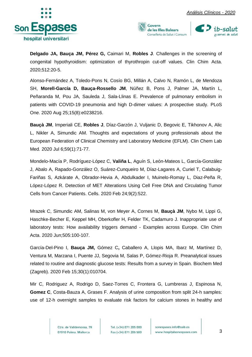





**Delgado JA, Bauça JM, Pérez G,** Caimari M, **Robles J**. Challenges in the screening of congenital hypothyroidism: optimization of thyrothropin cut-off values. Clin Chim Acta. 2020;512:20-5.

Alonso-Fernández A, Toledo-Pons N, Cosío BG, Millán A, Calvo N, Ramón L, de Mendoza SH, **Morell-García D, Bauça-Rossello JM**, Núñez B, Pons J, Palmer JA, Martín L, Peñaranda M, Pou JA, Sauleda J, Sala-Llinas E. Prevalence of pulmonary embolism in patients with COVID-19 pneumonia and high D-dimer values: A prospective study. PLoS One. 2020 Aug 25;15(8):e0238216.

**Bauçà JM**, Imperiali CE, **Robles J**, Díaz-Garzón J, Vuljanic D, Begovic E, Tikhonov A, Alic L, Nikler A, Simundic AM. Thoughts and expectations of young professionals about the European Federation of Clinical Chemistry and Laboratory Medicine (EFLM). Clin Chem Lab Med. 2020 Jul 6;59(1):71-77.

Mondelo-Macía P, Rodríguez-López C, **Valiña L**, Aguín S, León-Mateos L, García-González J, Abalo A, Rapado-González O, Suárez-Cunqueiro M, Díaz-Lagares A, Curiel T, Calabuig-Fariñas S, Azkárate A, Obrador-Hevia A, Abdulkader I, Muinelo-Romay L, Diaz-Peña R, López-López R. Detection of MET Alterations Using Cell Free DNA and Circulating Tumor Cells from Cancer Patients. Cells. 2020 Feb 24;9(2):522.

Mrazek C, Simundic AM, Salinas M, von Meyer A, Cornes M, **Bauçà JM**, Nybo M, Lippi G, Haschke-Becher E, Keppel MH, Oberkofler H, Felder TK, Cadamuro J. Inappropriate use of laboratory tests: How availability triggers demand - Examples across Europe. Clin Chim Acta. 2020 Jun;505:100-107.

García-Del-Pino I, **Bauça JM,** Gómez C**,** Caballero A, Llopis MA, Ibarz M, Martínez D, Ventura M, Marzana I, Puente JJ, Segovia M, Salas P, Gómez-Rioja R. Preanalytical issues related to routine and diagnostic glucose tests: Results from a survey in Spain. Biochem Med (Zagreb). 2020 Feb 15;30(1):010704.

Mir C, Rodriguez A, Rodrigo D, Saez-Torres C, Frontera G, Lumbreras J, Espinosa N, **Gomez C**, Costa-Bauza A, Grases F. Analysis of urine composition from split 24-h samples: use of 12-h overnight samples to evaluate risk factors for calcium stones in healthy and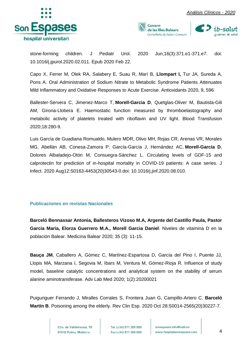







stone-forming children. J Pediatr Urol. 2020 Jun;16(3):371.e1-371.e7. doi: 10.1016/j.jpurol.2020.02.011. Epub 2020 Feb 22.

Capo X, Ferrer M, Olek RA, Salabery E, Suau R, Marí B, **Llompart I,** Tur JA, Sureda A, Pons A. Oral Administration of Sodium Nitrate to Metabolic Syndrome Patients Attenuates Mild Inflammatory and Oxidative Responses to Acute Exercise. Antioxidants 2020, 9, 596

Ballester-Servera C, Jimenez-Marco T, **Morell-Garcia D**, Quetglas-Oliver M, Bautista-Gili AM, Girona-Llobera E. Haemostatic function measured by thromboelastography and metabolic activity of platelets treated with riboflavin and UV light. Blood Transfusion 2020;18:280-9.

Luis García de Guadiana Romualdo, Mulero MDR, Olivo MH, Rojas CR, Arenas VR, Morales MG, Abellán AB, Conesa-Zamora P, García-García J, Hernández AC, **Morell-García D**, Dolores Albaladejo-Otón M, Consuegra-Sánchez L. Circulating levels of GDF-15 and calprotectin for prediction of in-hospital mortality in COVID-19 patients: A case series. J Infect. 2020 Aug12:S0163-4453(20)30543-0.doi: 10.1016/j.jinf.2020.08.010.

#### <span id="page-4-0"></span>**Publicaciones en revistas Nacionales**

**Barceló Bennassar Antonia, Ballesteros Vizoso M.A, Argente del Castillo Paula, Pastor Garcia Maria, Elorza Guerrero M.A., Morell Garcia Daniel**. Niveles de vitamina D en la población Balear. Medicina Balear 2020; 35 (3): 11-15.

**Bauça JM**, Caballero A, Gómez C, Martínez-Espartosa D, García del Pino I, Puente JJ, Llopis MA, Marzana I, Segovia M, Ibars M, Ventura M, Gómez-Rioja R. Influence of study model, baseline catalytic concentrations and analytical system on the stability of serum alanine aminotransferase. Adv Lab Med 2020; 1(2):20200021

Puiguriguer Ferrando J, Miralles Corrales S, Frontera Juan G, Campillo-Artero C, **Barceló Martín B**. Poisoning among the elderly. Rev Clin Esp. 2020 Oct 28:S0014-2565(20)30227-7.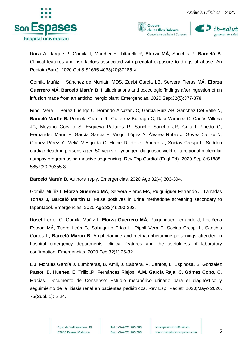





Roca A, Jarque P, Gomila I, Marchei E, Tittarelli R, **Elorza MÁ**, Sanchís P, **Barceló B**. Clinical features and risk factors associated with prenatal exposure to drugs of abuse. An Pediatr (Barc). 2020 Oct 8:S1695-4033(20)30285-X.

Gomila Muñiz I, Sánchez de Muniain MDS, Zuabi García LB, Servera Pieras MÁ, **Elorza Guerrero MÁ, Barceló Martín B**. Hallucinations and toxicologic findings after ingestion of an infusion made from an anticholinergic plant. Emergencias. 2020 Sep;32(5):377-378.

Ripoll-Vera T, Pérez Luengo C, Borondo Alcázar JC, García Ruiz AB, Sánchez Del Valle N, **Barceló Martín B,** Poncela García JL, Gutiérrez Buitrago G, Dasi Martínez C, Canós Villena JC, Moyano Corvillo S, Esgueva Pallarés R, Sancho Sancho JR, Guitart Pinedo G, Hernández Marín E, García García E, Vingut López A, Álvarez Rubio J, Govea Callizo N, Gómez Pérez Y, Melià Mesquida C, Heine D, Rosell Andreo J, Socías Crespí L. Sudden cardiac death in persons aged 50 years or younger: diagnostic yield of a regional molecular autopsy program using massive sequencing. Rev Esp Cardiol (Engl Ed). 2020 Sep 8:S1885- 5857(20)30355-8.

**Barceló Martín B**. Authors' reply. Emergencias. 2020 Ago;32(4):303-304.

Gomila Muñiz I, **Elorza Guerrero MÁ**, Servera Pieras MÁ, Puiguriguer Ferrando J, Tarradas Torras J, **Barceló Martín B**. False positives in urine methadone screening secondary to tapentadol. Emergencias. 2020 Ago;32(4):290-292.

Roset Ferrer C, Gomila Muñiz I, **Elorza Guerrero MÁ**, Puiguriguer Ferrando J, Leciñena Estean MÁ, Tuero León G, Sahuquillo Frías L, Ripoll Vera T, Socias Crespi L, Sanchís Cortés P, **Barceló Martín B**. Amphetamine and methamphetamine poisonings attended in hospital emergency departments: clinical features and the usefulness of laboratory confirmation. Emergencias. 2020 Feb;32(1):26-32.

L.J. Morales García J. Lumbreras, B. Amil, J. Cabrera, V. Cantos, L. Espinosa, S. González Pastor, B. Huertes, E. Trillo.,P. Fernández Riejos, **A.M. García Raja, C. Gómez Cobo, C**. Macías. Documento de Consenso: Estudio metabólico urinario para el diagnóstico y seguimiento de la litiasis renal en pacientes pediátricos. Rev Esp Pediatr 2020;Mayo 2020. 75(Supl. 1): 5-24.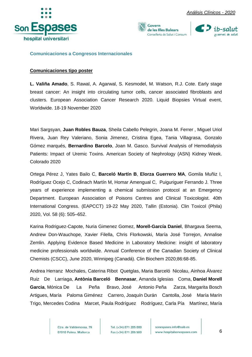





<span id="page-6-0"></span>**Comunicaciones a Congresos Internacionales**

#### **Comunicaciones tipo poster**

**L. Valiña Amado**, S. Rawal, A. Agarwal, S. Kesmodel, M. Watson, R.J. Cote. Early stage breast cancer: An insight into circulating tumor cells, cancer associated fibroblasts and clusters. European Association Cancer Research 2020. Liquid Biopsies Virtual event, Worldwide. 18-19 November 2020

Mari Sargsyan, **Juan Robles Bauza**, Sheila Cabello Pelegrin, Joana M. Ferrer , Miguel Uriol Rivera, Juan Rey Valeriano, Sonia Jimenez, Cristina Egea, Tania Villagrasa, Gonzalo Gómez marqués, **Bernardino Barcelo**, Joan M. Gasco. Survival Analysis of Hemodialysis Patients: Impact of Uremic Toxins. American Society of Nephrology (ASN) Kidney Week. Colorado 2020

Ortega Pérez J, Yates Bailo C, **Barceló Martín B**, **Elorza Guerrero MA**, Gomila Muñiz I, Rodríguez Ocejo C, Codinach Martín M, Homar Amengual C, Puiguriguer Ferrando J. Three years of experience implementing a chemical submission protocol at an Emergency Department. European Association of Poisons Centres and Clinical Toxicologist. 40th International Congress. (EAPCCT) 19-22 May 2020, Tallin (Estonia). Clin Toxicol (Phila) 2020, Vol. 58 (6): 505–652.

Karina Rodriguez-Capote, Nuria Gimenez Gomez, **Morell-García Daniel**, Bhargava Seema, Andrew Don-Wauchope, Xavier Filella, Chris Florkowski, María José Torrejon, Annalise Zemlin. Applying Evidence Based Medicine in Laboratory Medicine: insight of laboratory medicine professionals worldwide. Annual Conference of the Canadian Society of Clinical Chemists (CSCC), June 2020, Winnipeg (Canadá). Clin Biochem 2020;86:68-85.

Andrea Herranz Mochales, Caterina Ribot Quetglas, Maria Barceló Nicolau, Ainhoa Álvarez Ruiz De Larriaga, **Antònia Barceló Bennasar**, Amanda Iglesias Coma, **Daniel Morell Garcia**, Mónica De La Peña Bravo, José Antonio Peña Zarza, Margarita Bosch Artigues, María Paloma Giménez Carrero, Joaquín Durán Cantolla, José María Marín Trigo, Mercedes Codina Marcet, Paula Rodríguez Rodríguez, Carla Pía Martínez, María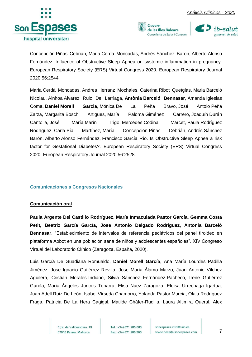





Concepción Piñas Cebrián, Maria Cerdà Moncadas, Andrés Sánchez Barón, Alberto Alonso Fernández. Influence of Obstructive Sleep Apnea on systemic inflammation in pregnancy. European Respiratory Society (ERS) Virtual Congress 2020. European Respiratory Journal 2020;56:2544.

Maria Cerdà Moncadas, Andrea Herranz Mochales, Caterina Ribot Quetglas, Maria Barceló Nicolau, Ainhoa Álvarez Ruiz De Larriaga, **Antònia Barceló Bennasar**, Amanda Iglesias Coma, **Daniel Morell Garcia**, Mónica De La Peña Bravo, José Antoio Peña Zarza, Margarita Bosch Artigues, María Paloma Giménez Carrero, Joaquín Durán Cantolla, José María Marín Trigo, Mercedes Codina Marcet, Paula Rodríguez Rodríguez, Carla Pía Martínez, María Concepción Piñas Cebrián, Andrés Sánchez Barón, Alberto Alonso Fernández, Francisco García Río. Is Obstructive Sleep Apnea a risk factor for Gestational Diabetes?. European Respiratory Society (ERS) Virtual Congress 2020. European Respiratory Journal 2020;56:2528.

#### <span id="page-7-0"></span>**Comunicaciones a Congresos Nacionales**

#### **Comunicación oral**

**Paula Argente Del Castillo Rodríguez**, **María Inmaculada Pastor García, Gemma Costa Petit, Beatriz García García, Jose Antonio Delgado Rodríguez, Antonia Barceló Bennasar**. "Establecimiento de intervalos de referencia pediátricos del panel tiroideo en plataforma Abbot en una población sana de niños y adolescentes españoles". XIV Congreso Virtual del Laboratorio Clínico (Zaragoza, España, 2020).

Luis García De Guadiana Romualdo, **Daniel Morell García**, Ana María Lourdes Padilla Jiménez, Jose Ignacio Gutiérrez Revilla, Jose María Álamo Marzo, Juan Antonio Vílchez Aguilera, Cristian Morales-Indiano, Silvia Sánchez Fernández-Pacheco, Irene Gutiérrez García, María Ángeles Juncos Tobarra, Elisa Nuez Zaragoza, Eloísa Urrechaga Igartua, Juan Adell Ruiz De León, Isabel Vírseda Chamorro, Yolanda Pastor Murcia, Olaia Rodríguez Fraga, Patricia De La Hera Cagigal, Matilde Cháfer-Rudilla, Laura Altimira Queral, Alex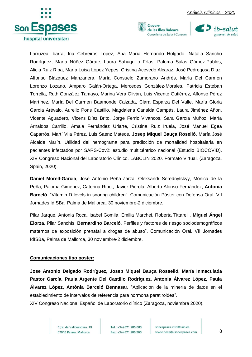





Larruzea Ibarra, Iria Cebreiros López, Ana María Hernando Holgado, Natalia Sancho Rodríguez, María Núñez Gárate, Laura Sahuquillo Frías, Paloma Salas Gómez-Pablos, Alicia Ruiz Ripa, María Luisa López Yepes, Cristina Acevedo Alcaraz, José Pedregosa Díaz, Alfonso Blázquez Manzanera, María Consuelo Zamorano Andrés, María Del Carmen Lorenzo Lozano, Amparo Galán-Ortega, Mercedes González-Morales, Patricia Esteban Torrella, Ruth González Tamayo, Marina Vera Oliván, Luis Vicente Gutiérrez, Alfonso Pérez Martínez, María Del Carmen Baamonde Calzada, Clara Esparza Del Valle, María Gloria García Arévalo, Aurelio Pons Castillo, Magdalena Canalda Campás, Laura Jiménez Añon, Vicente Aguadero, Vicens Díaz Brito, Jorge Ferriz Vivancos, Sara García Muñoz, María Arnaldos Carrillo, Amaia Fernández Uriarte, Cristina Ruiz Iruela, José Manuel Egea Caparrós, Martí Vila Pérez, Luis Saenz Mateos, **Josep Miquel Bauça Roselló**, María José Alcaide Marín. Utilidad del hemograma para predicción de mortalidad hospitalaria en pacientes infectados por SARS-Cov2: estudio multicéntrico nacional (Estudio BIOCOVID). XIV Congreso Nacional del Laboratorio Clínico. LABCLIN 2020. Formato Virtual. (Zaragoza, Spain, 2020).

**Daniel Morell-Garcia**, José Antonio Peña-Zarza, Oleksandr Serednytskyy, Mónica de la Peña, Paloma Giménez, Caterina Ribot, Javier Piérola, Alberto Alonso-Fernández, **Antonia Barceló**. "Vitamin D levels in snoring children". Comunicación Póster con Defensa Oral. VII Jornades IdISBa, Palma de Mallorca, 30 noviembre-2 diciembre.

Pilar Jarque, Antonia Roca, Isabel Gomila, Emilia Marchei, Roberta Tittarelli, **Miguel Ángel Elorza**, Pilar Sanchís, **Bernardino Barceló**. Perfiles y factores de riesgo sociodemográficos maternos de exposición prenatal a drogas de abuso". Comunicación Oral. VII Jornades IdISBa, Palma de Mallorca, 30 noviembre-2 diciembre.

#### **Comunicaciones tipo poster:**

**Jose Antonio Delgado Rodríguez, Josep Miquel Bauça Rosselló, María Inmaculada Pastor García, Paula Argente Del Castillo Rodríguez, Antonia Álvarez López, Paula Álvarez López, Antònia Barceló Bennasar.** "Aplicación de la minería de datos en el establecimiento de intervalos de referencia para hormona paratiroidea".

XIV Congreso Nacional Español de Laboratorio clínico (Zaragoza, noviembre 2020).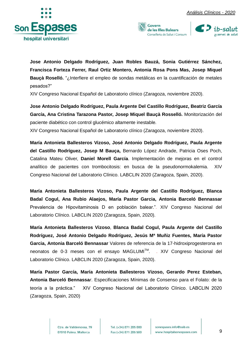





**Jose Antonio Delgado Rodríguez, Juan Robles Bauzá, Sonia Gutiérrez Sánchez, Francisca Forteza Ferrer, Raul Ortiz Montero, Antonia Rosa Pons Mas, Josep Miquel Bauçà Roselló.** "¿Interfiere el empleo de sondas metálicas en la cuantificación de metales pesados?"

XIV Congreso Nacional Español de Laboratorio clínico (Zaragoza, noviembre 2020).

**Jose Antonio Delgado Rodríguez, Paula Argente Del Castillo Rodríguez, Beatriz García García, Ana Cristina Tarazona Pastor, Josep Miquel Bauçà Rosselló.** Monitorización del paciente diabético con control glucémico altamente inestable*.*

XIV Congreso Nacional Español de Laboratorio clínico (Zaragoza, noviembre 2020).

**María Antonieta Ballesteros Vizoso, José Antonio Delgado Rodríguez, Paula Argente del Castillo Rodríguez, Josep M Bauça,** Bernardo López Andrade, Patricia Oses Poch, Catalina Mateu Oliver, **Daniel Morell García**. Implementación de mejoras en el control analítico de pacientes con trombocitosis: en busca de la pseudonormokalemia. XIV Congreso Nacional del Laboratorio Clínico. LABCLIN 2020 (Zaragoza, Spain, 2020).

**María Antonieta Ballesteros Vizoso, Paula Argente del Castillo Rodríguez, Blanca Badal Cogul, Ana Rubio Alaejos, María Pastor Garcia, Antonia Barceló Bennassar** Prevalencia de Hipovitaminosis D en población balear."*.* XIV Congreso Nacional del Laboratorio Clínico. LABCLIN 2020 (Zaragoza, Spain, 2020).

**María Antonieta Ballesteros Vizoso**, **Blanca Badal Cogul, Paula Argente del Castillo Rodríguez, José Antonio Delgado Rodríguez, Jesús Mª Muñiz Fuentes, María Pastor Garcia, Antonia Barceló Bennassar** Valores de referencia de la 17-hidroxiprogesterona en neonatos de 0-3 meses con el ensayo MAGLUMI<sup>™</sup>. . XIV Congreso Nacional del Laboratorio Clínico. LABCLIN 2020 (Zaragoza, Spain, 2020).

**María Pastor García, María Antonieta Ballesteros Vizoso, Gerardo Perez Esteban, Antonia Barceló Bennassa***r*. Especificaciones Mínimas de Consenso para el Folato: de la teoría a la práctica." XIV Congreso Nacional del Laboratorio Clínico. LABCLIN 2020 (Zaragoza, Spain, 2020)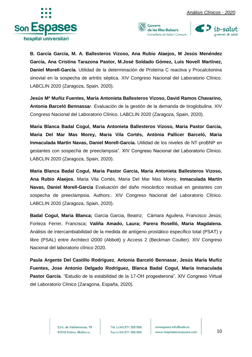





**B. García García, M. A. Ballesteros Vizoso, Ana Rubio Alaejos, M Jesús Menéndez García, Ana Cristina Tarazona Pastor, M.José Soldado Gómez, Luis Novell Martínez, Daniel Morell-García.** Utilidad de la determinación de Proteína C reactiva y Procalcitonina sinovial en la sospecha de artritis séptica. XIV Congreso Nacional del Laboratorio Clínico. LABCLIN 2020 (Zaragoza, Spain, 2020).

**Jesús Mª Muñiz Fuentes, María Antonieta Ballesteros Vizoso, David Ramos Chavarino, Antonia Barceló Bennassa***r.* Evaluación de la gestión de la demanda de tiroglobulina. XIV Congreso Nacional del Laboratorio Clínico. LABCLIN 2020 (Zaragoza, Spain, 2020).

**Maria Blanca Badal Cogul, Maria Antonieta Ballesteros Vizoso, Maria Pastor Garcia, Maria Del Mar Mas Morey, Maria Vila Cortés, Antònia Pallicer Barceló, Maria Inmaculada Martín Navas, Daniel Morell-Garcia.** Utilidad de los niveles de NT-proBNP en gestantes con sospecha de preeclampsia". XIV Congreso Nacional del Laboratorio Clínico. LABCLIN 2020 (Zaragoza, Spain, 2020).

**Maria Blanca Badal Cogul, Maria Pastor Garcia, Maria Antonieta Ballesteros Vizoso, Ana Rubio Alaejos**, Maria Vila Cortés, Maria Del Mar Mas Morey, **Inmaculada Martín Navas, Daniel Morell-Garcia** Evaluación del daño miocárdico residual en gestantes con sospecha de preeclampsia. Authors:. XIV Congreso Nacional del Laboratorio Clínico. LABCLIN 2020 (Zaragoza, Spain, 2020).

**Badal Cogul, Maria Blanca;** Garcia Garcia, Beatriz; Cámara Aguilera, Francisco Jesús; Forteza Ferrer, Francisca; **Valiña Amado, Laura; Parera Roselló, Maria Magdalena.** Análisis de intercambiabilidad de la medida de antígeno prostático específico total (PSAT) y libre (PSAL) entre Architect i2000 (Abbott) y Access 2 (Beckman Coulter). XIV Congreso Nacional del laboratorio clínico 2020.

**Paula Argente Del Castillo Rodríguez**, **Antonia Barceló Bennasar, Jesús María Muñiz Fuentes, Jose Antonio Delgado Rodríguez, Blanca Badal Cogul, María Inmaculada Pastor García**. "Estudio de la estabilidad de la 17-OH progesterona". XIV Congreso Virtual del Laboratorio Clínico (Zaragona, España, 2020).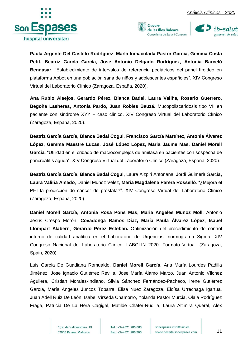





**Paula Argente Del Castillo Rodríguez**, **María Inmaculada Pastor García, Gemma Costa Petit, Beatriz García García, Jose Antonio Delgado Rodríguez, Antonia Barceló Bennasar**. "Establecimiento de intervalos de referencia pediátricos del panel tiroideo en plataforma Abbot en una población sana de niños y adolescentes españoles". XIV Congreso Virtual del Laboratorio Clínico (Zaragoza, España, 2020).

**Ana Rubio Alaejos, Gerardo Pérez, Blanca Badal, Laura Valiña, Rosario Guerrero, Begoña Lasheras, Antonia Pardo, Juan Robles Bauzá.** Mucopoliscaridosis tipo VII en paciente con síndrome XYY – caso clínico. XIV Congreso Virtual del Laboratorio Clínico (Zaragoza, España, 2020).

**Beatriz García García, Blanca Badal Cogul**, **Francisco García Martínez, Antonia Álvarez López, Gemma Maestre Lucas, José López López, Maria Jaume Mas, Daniel Morell García**. "Utilidad en el cribado de macrocomplejos de amilasa en pacientes con sospecha de pancreatitis aguda". XIV Congreso Virtual del Laboratorio Clínico (Zaragoza, España, 2020).

**Beatriz García García**, **Blanca Badal Cogul**, Laura Aizpiri Antoñana, Jordi Guimerà García**, Laura Valiña Amado**, Daniel Muñoz Vélez, **Maria Magdalena Parera Rosselló**. "¿Mejora el PHI la predicción de cáncer de próstata?". XIV Congreso Virtual del Laboratorio Clínico (Zaragoza, España, 2020).

**Daniel Morell García**, **Antonia Rosa Pons Mas**, **Maria Ángeles Muñoz Moll**, Antonio Jesús Crespo Morón, **Covadonga Ramos Díaz, María Paula Álvarez López**, **Isabel Llompart Alabern**, **Gerardo Pérez Esteban.** Optimización del procedimiento de control interno de calidad analítica en el Laboratorio de Urgencias: normograma Sigma. XIV Congreso Nacional del Laboratorio Clínico. LABCLIN 2020. Formato Virtual. (Zaragoza, Spain, 2020).

Luis García De Guadiana Romualdo, **Daniel Morell García**, Ana María Lourdes Padilla Jiménez, Jose Ignacio Gutiérrez Revilla, Jose María Álamo Marzo, Juan Antonio Vílchez Aguilera, Cristian Morales-Indiano, Silvia Sánchez Fernández-Pacheco, Irene Gutiérrez García, María Ángeles Juncos Tobarra, Elisa Nuez Zaragoza, Eloísa Urrechaga Igartua, Juan Adell Ruiz De León, Isabel Vírseda Chamorro, Yolanda Pastor Murcia, Olaia Rodríguez Fraga, Patricia De La Hera Cagigal, Matilde Cháfer-Rudilla, Laura Altimira Queral, Alex

> Ctra, de Valldemossa, 79 07010 Palma. Mallorca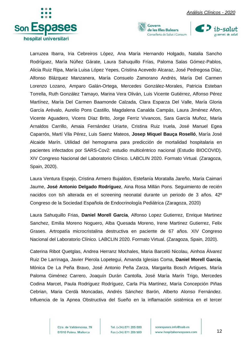





Larruzea Ibarra, Iria Cebreiros López, Ana María Hernando Holgado, Natalia Sancho Rodríguez, María Núñez Gárate, Laura Sahuquillo Frías, Paloma Salas Gómez-Pablos, Alicia Ruiz Ripa, María Luisa López Yepes, Cristina Acevedo Alcaraz, José Pedregosa Díaz, Alfonso Blázquez Manzanera, María Consuelo Zamorano Andrés, María Del Carmen Lorenzo Lozano, Amparo Galán-Ortega, Mercedes González-Morales, Patricia Esteban Torrella, Ruth González Tamayo, Marina Vera Oliván, Luis Vicente Gutiérrez, Alfonso Pérez Martínez, María Del Carmen Baamonde Calzada, Clara Esparza Del Valle, María Gloria García Arévalo, Aurelio Pons Castillo, Magdalena Canalda Campás, Laura Jiménez Añon, Vicente Aguadero, Vicens Díaz Brito, Jorge Ferriz Vivancos, Sara García Muñoz, María Arnaldos Carrillo, Amaia Fernández Uriarte, Cristina Ruiz Iruela, José Manuel Egea Caparrós, Martí Vila Pérez, Luis Saenz Mateos, **Josep Miquel Bauça Roselló**, María José Alcaide Marín. Utilidad del hemograma para predicción de mortalidad hospitalaria en pacientes infectados por SARS-Cov2: estudio multicéntrico nacional (Estudio BIOCOVID). XIV Congreso Nacional del Laboratorio Clínico. LABCLIN 2020. Formato Virtual. (Zaragoza, Spain, 2020).

Laura Ventura Espejo, Cristina Armero Bujaldon, Estefanía Moratalla Jareño, María Caimari Jaume, **José Antonio Delgado Rodríguez**, Aina Rosa Millán Pons. Seguimiento de recién nacidos con tsh alterada en el screening neonatal durante un periodo de 3 años. 42º Congreso de la Sociedad Española de Endocrinología Pediátrica (Zaragoza, 2020)

Laura Sahuquillo Frias, **Daniel Morell Garcia**, Alfonso Lopez Gutierrez, Enrique Martinez Sanchez, Emilia Moreno Noguero, Alba Quesada Moreno, Irene Martinez Gutierrez, Felix Grases. Artropatía microcristalina destructiva en paciente de 67 años. XIV Congreso Nacional del Laboratorio Clínico. LABCLIN 2020. Formato Virtual. (Zaragoza, Spain, 2020).

Caterina Ribot Quetglas, Andrea Herranz Mochales, Maria Barceló Nicolau, Ainhoa Álvarez Ruiz De Larrinaga, Javier Pierola Lopetegui, Amanda Iglesias Coma, **Daniel Morell Garcia**, Mónica De La Peña Bravo, José Antonio Peña Zarza, Margarita Bosch Artigues, María Paloma Giménez Carrero, Joaquín Durán Cantolla, José María Marín Trigo, Mercedes Codina Marcet, Paula Rodríguez Rodríguez, Carla Pía Martínez, María Concepción Piñas Cebrian, Maria Cerdà Moncadas, Andrés Sánchez Barón, Alberto Alonso Fernández. Influencia de la Apnea Obstructiva del Sueño en la inflamación sistémica en el tercer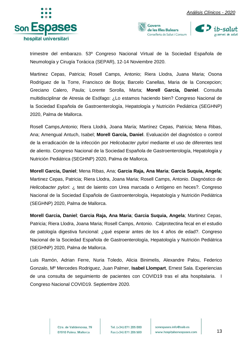





trimestre del embarazo. 53º Congreso Nacional Virtual de la Sociedad Española de Neumología y Cirugía Torácica (SEPAR), 12-14 Noviembre 2020.

Martinez Cepas, Patricia; Rosell Camps, Antonio; Riera Llodra, Juana Maria; Osona Rodriguez de la Torre, Francisco de Borja; Barcelo Canellas, Maria de la Concepcion; Greciano Calero, Paula; Lorente Sorolla, Marta; **Morell Garcia, Daniel**. Consulta multidisciplinar de Atresia de Esófago: ¿Lo estamos haciendo bien? Congreso Nacional de la Sociedad Española de Gastroenterología, Hepatología y Nutrición Pediátrica (SEGHNP) 2020, Palma de Mallorca.

Rosell Camps,Antonio; Riera Llodrà, Joana María; Martínez Cepas, Patricia; Mena Ribas, Ana; Amengual Antuch, Isabel; **Morell García, Daniel**. Evaluación del diagnóstico o control de la erradicación de la infección por *Helicobacter pylori* mediante el uso de diferentes test de aliento. Congreso Nacional de la Sociedad Española de Gastroenterología, Hepatología y Nutrición Pediátrica (SEGHNP) 2020, Palma de Mallorca.

**Morell Garcia, Daniel**; Mena Ribas, Ana; **Garcia Raja, Ana Maria**; **Garcia Suquia, Angela**; Martinez Cepas, Patricia; Riera Llodra, Joana Maria; Rosell Camps, Antonio. Diagnóstico de *Helicobacter pylori*: ¿ test de laiento con Urea marcada o Antígeno en heces?. Congreso Nacional de la Sociedad Española de Gastroenterología, Hepatología y Nutrición Pediátrica (SEGHNP) 2020, Palma de Mallorca.

**Morell Garcia, Daniel**; **Garcia Raja, Ana Maria**; **Garcia Suquia, Angela**; Martinez Cepas, Patricia; Riera Llodra, Joana Maria; Rosell Camps, Antonio. Calprotectina fecal en el estudio de patología digestiva funcional: ¿qué esperar antes de los 4 años de edad?. Congreso Nacional de la Sociedad Española de Gastroenterología, Hepatología y Nutrición Pediátrica (SEGHNP) 2020, Palma de Mallorca.

Luis Ramón, Adrian Ferre, Nuria Toledo, Alicia Binimelis, Alexandre Palou, Federico Gonzalo, Mº Mercedes Rodriguez, Juan Palmer, **Isabel Llompart**, Ernest Sala. Experiencias de una consulta de seguimiento de pacientes con COVID19 tras el alta hospitalaria. I Congreso Nacional COVID19. Septiembre 2020.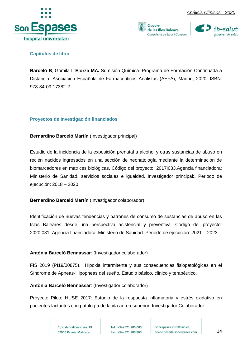





#### <span id="page-14-0"></span>**Capítulos de libro**

**Barceló B**, Gomila I, **Elorza MA.** Sumisión Química. Programa de Formación Continuada a Distancia. Asociación Española de Farmacéuticos Analistas (AEFA), Madrid, 2020. ISBN: 978-84-09-17382-2.

#### <span id="page-14-1"></span>**Proyectos de Investigación financiados**

#### **Bernardino Barceló Martín** (Investigador principal)

Estudio de la incidencia de la exposición prenatal a alcohol y otras sustancias de abuso en recién nacidos ingresados en una sección de neonatología mediante la determinación de biomarcadores en matrices biológicas. Código del proyecto: 2017I033.Agencia financiadora: Ministerio de Sanidad, servicios sociales e igualdad. Investigador principal:**.** Periodo de ejecución: 2018 – 2020

#### **Bernardino Barceló Martín** (Investigador colaborador)

Identificación de nuevas tendencias y patrones de consumo de sustancias de abuso en las Islas Baleares desde una perspectiva asistencial y preventiva. Código del proyecto: 2020I031. Agencia financiadora: Ministerio de Sanidad. Periodo de ejecución: 2021 – 2023.

#### **Antònia Barceló Bennassar**: (Investigador colaborador)

FIS 2019 (PI19/00875). Hipoxia intermitente y sus consecuencias fisiopatológicas en el Síndrome de Apneas-Hipopneas del sueño. Estudio básico, clínico y terapéutico.

**Antònia Barceló Bennassar**: (Investigador colaborador)

Proyecto Piloto HUSE 2017: Estudio de la respuesta inflamatoria y estrés oxidativo en pacientes lactantes con patología de la vía aérea superior. Investigador Colaborador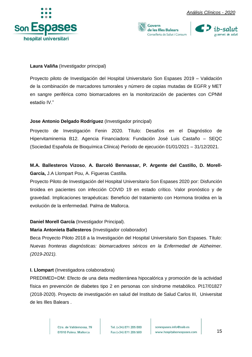



#### **Laura Valiña** (Investigador principal)

Proyecto piloto de Investigación del Hospital Universitario Son Espases 2019 – Validación de la combinación de marcadores tumorales y número de copias mutadas de EGFR y MET en sangre periférica como biomarcadores en la monitorización de pacientes con CPNM estadío IV."

#### **Jose Antonio Delgado Rodríguez** (Investigador principal)

Proyecto de Investigación Fenin 2020. Título: Desafíos en el Diagnóstico de Hipervitaminemia B12. Agencia Financiadora: Fundación José Luis Castaño – SEQC (Sociedad Española de Bioquímica Clínica) Período de ejecución 01/01/2021 – 31/12/2021.

#### **M.A. Ballesteros Vizoso**, **A. Barceló Bennassar, P. Argente del Castillo, D. Morell-García,** J.A Llompart Pou, A. Figueras Castilla.

Proyecto Piloto de Investigación del Hospital Universitario Son Espases 2020 por: Disfunción tiroidea en pacientes con infección COVID 19 en estado crítico. Valor pronóstico y de gravedad. Implicaciones terapéuticas: Beneficio del tratamiento con Hormona tiroidea en la evolución de la enfermedad. Palma de Mallorca.

#### **Daniel Morell García** (Investigador Principal).

#### **Maria Antonieta Ballesteros** (Investigador colaborador)

Beca Proyecto Piloto 2018 a la Investigación del Hospital Universitario Son Espases. Título: *Nuevas fronteras diagnósticas: biomarcadores séricos en la Enfermedad de Alzheimer. (2019-2021).*

#### **I. Llompart** (Investigadora colaboradora)

PREDIMED+DM: Efecto de una dieta mediterránea hipocalórica y promoción de la actividad física en prevención de diabetes tipo 2 en personas con síndrome metabólico. PI17/01827 (2018-2020). Proyecto de investigación en salud del Instituto de Salud Carlos III, Universitat de les Illes Balears .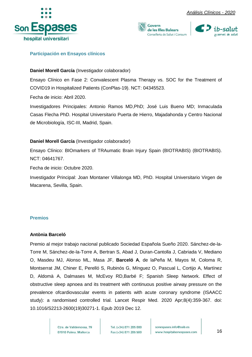





#### <span id="page-16-0"></span>**Participación en Ensayos clínicos**

#### **Daniel Morell García** (Investigador colaborador)

Ensayo Clínico en Fase 2: Convalescent Plasma Therapy vs. SOC for the Treatment of COVID19 in Hospitalized Patients (ConPlas-19). NCT: 04345523.

Fecha de inicio: Abril 2020.

Investigadores Principales: Antonio Ramos MD,PhD; José Luis Bueno MD; Inmaculada Casas Flecha PhD. Hospital Universitario Puerta de Hierro, Majadahonda y Centro Nacional de Microbiología, ISC-III, Madrid, Spain.

#### **Daniel Morell García** (Investigador colaborador)

Ensayo Clínico: BIOmarkers of TRAumatic Brain Injury Spain (BIOTRABIS) (BIOTRABIS). NCT: 04641767.

Fecha de inicio: Octubre 2020.

Investigador Principal: Joan Montaner Villalonga MD, PhD. Hospital Universitario Virgen de Macarena, Sevilla, Spain.

#### <span id="page-16-1"></span>**Premios**

#### **Antònia Barceló**

Premio al mejor trabajo nacional publicado Sociedad Española Sueño 2020. Sánchez-de-la-Torre M, Sánchez-de-la-Torre A, Bertran S, Abad J, Duran-Cantolla J, Cabriada V, Mediano O, Masdeu MJ, Alonso ML, Masa JF, **Barceló A**, de laPeña M, Mayos M, Coloma R, Montserrat JM, Chiner E, Perelló S, Rubinós G, Mínguez O, Pascual L, Cortijo A, Martínez D, Aldomà A, Dalmases M, McEvoy RD,Barbé F; Spanish Sleep Network. Effect of obstructive sleep apnoea and its treatment with continuous positive airway pressure on the prevalence ofcardiovascular events in patients with acute coronary syndrome (ISAACC study): a randomised controlled trial. Lancet Respir Med. 2020 Apr;8(4):359-367. doi: 10.1016/S2213-2600(19)30271-1. Epub 2019 Dec 12.

> Ctra, de Valldemossa, 79 07010 Palma. Mallorca

Tel. (+34) 871 205 000 Fax (+34) 871 205 500

sonespases.info@ssib.es www.hospitalsonespases.com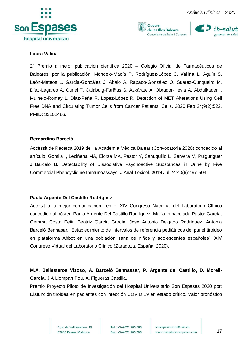



Govern de les Illes Balears Conselleria de Salut i Consum



#### **Laura Valiña**

2º Premio a mejor publicación científica 2020 – Colegio Oficial de Farmacéuticos de Baleares, por la publicación: Mondelo-Macía P, Rodríguez-López C, **Valiña L**, Aguín S, León-Mateos L, García-González J, Abalo A, Rapado-González O, Suárez-Cunqueiro M, Díaz-Lagares A, Curiel T, Calabuig-Fariñas S, Azkárate A, Obrador-Hevia A, Abdulkader I, Muinelo-Romay L, Diaz-Peña R, López-López R. Detection of MET Alterations Using Cell Free DNA and Circulating Tumor Cells from Cancer Patients. Cells. 2020 Feb 24;9(2):522. PMID: 32102486.

#### **Bernardino Barceló**

Accèssit de Recerca 2019 de la Acadèmia Mèdica Balear (Convocatoria 2020) concedido al artículo: Gomila I, Leciñena MÁ, Elorza MÁ, Pastor Y, Sahuquillo L, Servera M, Puiguriguer J, Barcelo B. Detectability of Dissociative Psychoactive Substances in Urine by Five Commercial Phencyclidine Immunoassays. J Anal Toxicol. **2019** Jul 24;43(6):497-503

#### **Paula Argente Del Castillo Rodríguez**

Accésit a la mejor comunicación en el XIV Congreso Nacional del Laboratorio Clínico concedido al póster: Paula Argente Del Castillo Rodríguez, María Inmaculada Pastor García, Gemma Costa Petit, Beatriz García García, Jose Antonio Delgado Rodríguez, Antonia Barceló Bennasar. "Establecimiento de intervalos de referencia pediátricos del panel tiroideo en plataforma Abbot en una población sana de niños y adolescentes españoles". XIV Congreso Virtual del Laboratorio Clínico (Zaragoza, España, 2020).

#### **M.A. Ballesteros Vizoso**, **A. Barceló Bennassar, P. Argente del Castillo, D. Morell-García,** J.A Llompart Pou, A. Figueras Castilla.

Premio Proyecto Piloto de Investigación del Hospital Universitario Son Espases 2020 por: Disfunción tiroidea en pacientes con infección COVID 19 en estado crítico. Valor pronóstico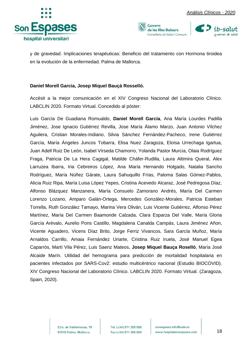





y de gravedad. Implicaciones terapéuticas: Beneficio del tratamiento con Hormona tiroidea en la evolución de la enfermedad. Palma de Mallorca.

#### **Daniel Morell Garcia, Josep Miquel Bauçà Rosselló.**

Accésit a la mejor comunicación en el XIV Congreso Nacional del Laboratorio Clínico. LABCLIN 2020. Formato Virtual. Concedido al póster:

Luis García De Guadiana Romualdo, **Daniel Morell García**, Ana María Lourdes Padilla Jiménez, Jose Ignacio Gutiérrez Revilla, Jose María Álamo Marzo, Juan Antonio Vílchez Aguilera, Cristian Morales-Indiano, Silvia Sánchez Fernández-Pacheco, Irene Gutiérrez García, María Ángeles Juncos Tobarra, Elisa Nuez Zaragoza, Eloísa Urrechaga Igartua, Juan Adell Ruiz De León, Isabel Vírseda Chamorro, Yolanda Pastor Murcia, Olaia Rodríguez Fraga, Patricia De La Hera Cagigal, Matilde Cháfer-Rudilla, Laura Altimira Queral, Alex Larruzea Ibarra, Iria Cebreiros López, Ana María Hernando Holgado, Natalia Sancho Rodríguez, María Núñez Gárate, Laura Sahuquillo Frías, Paloma Salas Gómez-Pablos, Alicia Ruiz Ripa, María Luisa López Yepes, Cristina Acevedo Alcaraz, José Pedregosa Díaz, Alfonso Blázquez Manzanera, María Consuelo Zamorano Andrés, María Del Carmen Lorenzo Lozano, Amparo Galán-Ortega, Mercedes González-Morales, Patricia Esteban Torrella, Ruth González Tamayo, Marina Vera Oliván, Luis Vicente Gutiérrez, Alfonso Pérez Martínez, María Del Carmen Baamonde Calzada, Clara Esparza Del Valle, María Gloria García Arévalo, Aurelio Pons Castillo, Magdalena Canalda Campás, Laura Jiménez Añon, Vicente Aguadero, Vicens Díaz Brito, Jorge Ferriz Vivancos, Sara García Muñoz, María Arnaldos Carrillo, Amaia Fernández Uriarte, Cristina Ruiz Iruela, José Manuel Egea Caparrós, Martí Vila Pérez, Luis Saenz Mateos, **Josep Miquel Bauça Roselló**, María José Alcaide Marín. Utilidad del hemograma para predicción de mortalidad hospitalaria en pacientes infectados por SARS-Cov2: estudio multicéntrico nacional (Estudio BIOCOVID). XIV Congreso Nacional del Laboratorio Clínico. LABCLIN 2020. Formato Virtual. (Zaragoza, Spain, 2020).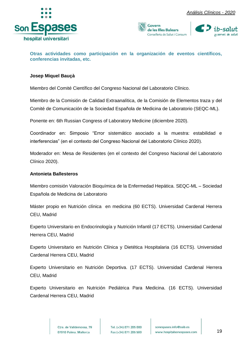





<span id="page-19-0"></span>**Otras actividades como participación en la organización de eventos científicos, conferencias invitadas, etc.**

#### **Josep Miquel Bauçà**

Miembro del Comité Científico del Congreso Nacional del Laboratorio Clínico.

Miembro de la Comisión de Calidad Extraanalítica, de la Comisión de Elementos traza y del Comité de Comunicación de la Sociedad Española de Medicina de Laboratorio (SEQC-ML).

Ponente en: 6th Russian Congress of Laboratory Medicine (diciembre 2020).

Coordinador en: Simposio "Error sistemático asociado a la muestra: estabilidad e interferencias" (en el contexto del Congreso Nacional del Laboratorio Clínico 2020).

Moderador en: Mesa de Residentes (en el contexto del Congreso Nacional del Laboratorio Clínico 2020).

#### **Antonieta Ballesteros**

Miembro comisión Valoración Bioquímica de la Enfermedad Hepática. SEQC-ML – Sociedad Española de Medicina de Laboratorio

Máster propio en Nutrición clínica en medicina (60 ECTS). Universidad Cardenal Herrera CEU, Madrid

Experto Universitario en Endocrinología y Nutrición Infantil (17 ECTS). Universidad Cardenal Herrera CEU, Madrid

Experto Universitario en Nutrición Clínica y Dietética Hospitalaria (16 ECTS). Universidad Cardenal Herrera CEU, Madrid

Experto Universitario en Nutrición Deportiva. (17 ECTS). Universidad Cardenal Herrera CEU, Madrid

Experto Universitario en Nutrición Pediátrica Para Medicina. (16 ECTS). Universidad Cardenal Herrera CEU, Madrid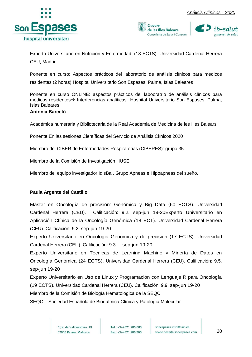





Experto Universitario en Nutrición y Enfermedad. (18 ECTS). Universidad Cardenal Herrera CEU, Madrid.

Ponente en curso: Aspectos prácticos del laboratorio de análisis clínicos para médicos residentes (2 horas) Hospital Universitario Son Espases, Palma, Islas Baleares

Ponente en curso ONLINE: aspectos prácticos del labooratrio de análisis clínicos para médicos residentes→ Interferencias analíticas Hospital Universitario Son Espases, Palma, Islas Baleares

#### **Antonia Barceló**

Académica numeraria y Bibliotecaria de la Real Academia de Medicina de les Illes Balears

Ponente En las sesiones Científicas del Servicio de Análisis Clínicos 2020

Miembro del CIBER de Enfermedades Respiratorias (CIBERES): grupo 35

Miembro de la Comisión de Investigación HUSE

Miembro del equipo investigador IdisBa . Grupo Apneas e Hipoapneas del sueño.

#### **Paula Argente del Castillo**

Máster en Oncología de precisión: Genómica y Big Data (60 ECTS). Universidad Cardenal Herrera (CEU). Calificación: 9.2. sep-jun 19-20Experto Universitario en Aplicación Clínica de la Oncología Genómica (18 ECT). Universidad Cardenal Herrera (CEU). Calificación: 9.2. sep-jun 19-20

Experto Universitario en Oncología Genómica y de precisión (17 ECTS). Universidad Cardenal Herrera (CEU). Calificación: 9.3. sep-jun 19-20

Experto Universitario en Técnicas de Learning Machine y Minería de Datos en Oncología Genómica (24 ECTS). Universidad Cardenal Herrera (CEU). Calificación: 9.5. sep-jun 19-20

Experto Universitario en Uso de Linux y Programación con Lenguaje R para Oncología (19 ECTS). Universidad Cardenal Herrera (CEU). Calificación: 9.9. sep-jun 19-20 Miembro de la Comisión de Biología Hematológica de la SEQC

SEQC – Sociedad Española de Bioquímica Clínica y Patología Molecular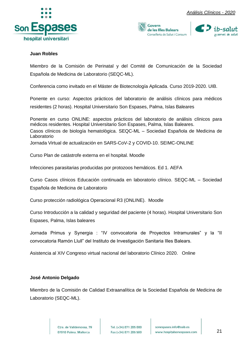





#### **Juan Robles**

Miembro de la Comisión de Perinatal y del Comité de Comunicación de la Sociedad Española de Medicina de Laboratorio (SEQC-ML).

Conferencia como invitado en el Máster de Biotecnología Aplicada. Curso 2019-2020. UIB.

Ponente en curso: Aspectos prácticos del laboratorio de análisis clínicos para médicos residentes (2 horas). Hospital Universitario Son Espases, Palma, Islas Baleares

Ponente en curso ONLINE: aspectos prácticos del laboratorio de análisis clínicos para médicos residentes. Hospital Universitario Son Espases, Palma, Islas Baleares. Casos clínicos de biología hematològica. SEQC-ML – Sociedad Española de Medicina de Laboratorio Jornada Virtual de actualización en SARS-CoV-2 y COVID-10. SEIMC-ONLINE

Curso Plan de catàstrofe externa en el hospital. Moodle

Infecciones parasitarias producidas por protozoos hemáticos. Ed 1. AEFA

Curso Casos clínicos Educación continuada en laboratorio clínico. SEQC-ML – Sociedad Española de Medicina de Laboratorio

Curso protección radiológica Operacional R3 (ONLINE). Moodle

Curso Introducción a la calidad y seguridad del paciente (4 horas). Hospital Universitario Son Espases, Palma, Islas baleares

Jornada Primus y Synergia : "IV convocatoria de Proyectos Intramurales" y la "II convocatoria Ramón Llull" del Instituto de Investigación Sanitaria Illes Balears.

Asistencia al XIV Congreso virtual nacional del laboratorio Clínico 2020. Online

#### **José Antonio Delgado**

Miembro de la Comisión de Calidad Extraanalítica de la Sociedad Española de Medicina de Laboratorio (SEQC-ML).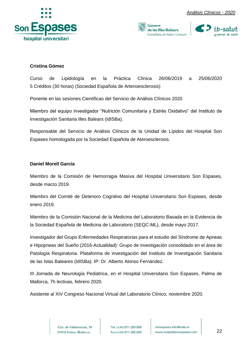





#### **Cristina Gómez**

Curso de Lipidología en la Práctica Clínica 26/06/2019 a 25/06/2020 5 Créditos (30 horas) (Sociedad Española de Arterioesclerosis)

Ponente en las sesiones Científicas del Servicio de Análisis Clínicos 2020

Miembro del equipo investigador "Nutrición Comunitaria y Estrés Oxidativo" del Instituto de Investigación Sanitaria Illes Balears (IdISBa).

Responsable del Servicio de Análisis Clínicos de la Unidad de Lípidos del Hospital Son Espases homologada por la Sociedad Española de Ateroesclerosis.

#### **Daniel Morell García**

Miembro de la Comisión de Hemorragia Masiva del Hospital Universitario Son Espases, desde marzo 2019.

Miembro del Comité de Deterioro Cognitivo del Hospital Universitario Son Espases, desde enero 2019.

Miembro de la Comisión Nacional de la Medicina del Laboratorio Basada en la Evidencia de la Sociedad Española de Medicina de Laboratorio (SEQC-ML), desde mayo 2017.

Investigador del Grupo Enfermedades Respiratorias para el estudio del Síndrome de Apneas e Hipopneas del Sueño (2016-Actualidad): Grupo de investigación consolidado en el área de Patología Respiratoria. Plataforma de investigación del Instituto de Investigación Sanitaria de las Islas Baleares (IdISBa). IP: Dr. Alberto Alonso Fernández.

III Jornada de Neurología Pediátrica, en el Hospital Universitario Son Espases, Palma de Mallorca, 7h lectivas, febrero 2020.

Asistente al XIV Congreso Nacional Virtual del Laboratorio Clínico, noviembre 2020.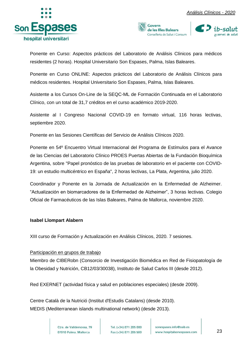





Ponente en Curso: Aspectos prácticos del Laboratorio de Análisis Clínicos para médicos residentes (2 horas). Hospital Universitario Son Espases, Palma, Islas Baleares.

Ponente en Curso ONLINE: Aspectos prácticos del Laboratorio de Análisis Clínicos para médicos residentes. Hospital Universitario Son Espases, Palma, Islas Baleares.

Asistente a los Cursos On-Line de la SEQC-ML de Formación Continuada en el Laboratorio Clínico, con un total de 31,7 créditos en el curso académico 2019-2020.

Asistente al I Congreso Nacional COVID-19 en formato virtual, 116 horas lectivas, septiembre 2020.

Ponente en las Sesiones Científicas del Servicio de Análisis Clínicos 2020.

Ponente en 54º Encuentro Virtual Internacional del Programa de Estímulos para el Avance de las Ciencias del Laboratorio Clínico PROES Puertas Abiertas de la Fundación Bioquímica Argentina, sobre "Papel pronóstico de las pruebas de laboratorio en el paciente con COVID-19: un estudio multicéntrico en España", 2 horas lectivas, La Plata, Argentina, julio 2020.

Coordinador y Ponente en la Jornada de Actualización en la Enfermedad de Alzheimer. "Actualización en biomarcadores de la Enfermedad de Alzheimer", 3 horas lectivas. Colegio Oficial de Farmacéuticos de las Islas Baleares, Palma de Mallorca, noviembre 2020.

#### **Isabel Llompart Alabern**

XIII curso de Formación y Actualización en Análisis Clínicos, 2020. 7 sesiones.

#### Participación en grupos de trabajo

Miembro de CIBERobn (Consorcio de Investigación Biomédica en Red de Fisiopatología de la Obesidad y Nutrición, CB12/03/30038), Instituto de Salud Carlos III (desde 2012).

Red EXERNET (actividad física y salud en poblaciones especiales) (desde 2009).

Centre Català de la Nutrició (Institut d'Estudis Catalans) (desde 2010). MEDIS (Mediterranean islands multinational network) (desde 2013).

> Ctra, de Valldemossa, 79 07010 Palma. Mallorca

Tel. (+34) 871 205 000 Fax (+34) 871 205 500